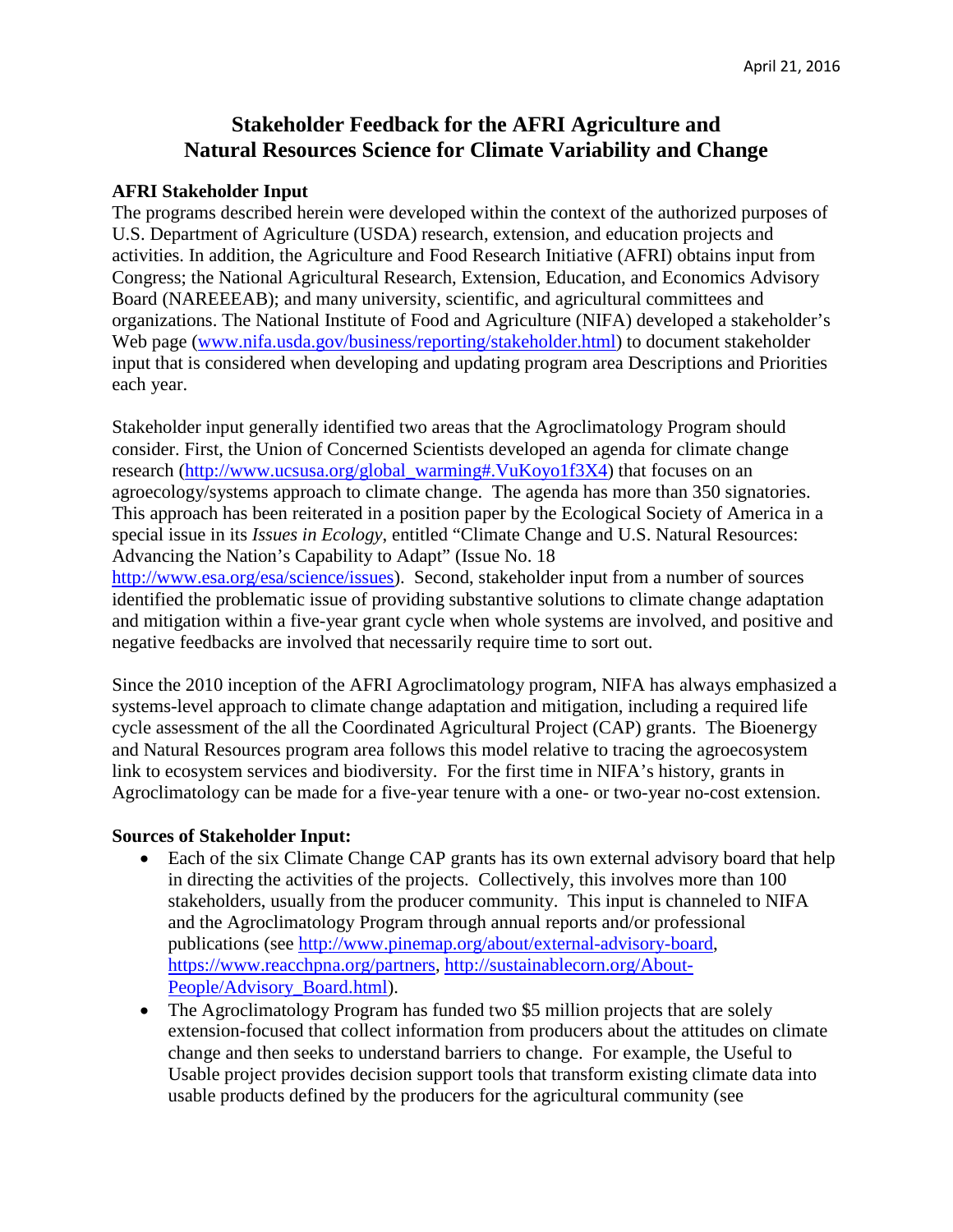## **Stakeholder Feedback for the AFRI Agriculture and Natural Resources Science for Climate Variability and Change**

## **AFRI Stakeholder Input**

The programs described herein were developed within the context of the authorized purposes of U.S. Department of Agriculture (USDA) research, extension, and education projects and activities. In addition, the Agriculture and Food Research Initiative (AFRI) obtains input from Congress; the National Agricultural Research, Extension, Education, and Economics Advisory Board (NAREEEAB); and many university, scientific, and agricultural committees and organizations. The National Institute of Food and Agriculture (NIFA) developed a stakeholder's Web page [\(www.nifa.usda.gov/business/reporting/stakeholder.html\)](http://www.nifa.usda.gov/business/reporting/stakeholder.html) to document stakeholder input that is considered when developing and updating program area Descriptions and Priorities each year.

Stakeholder input generally identified two areas that the Agroclimatology Program should consider. First, the Union of Concerned Scientists developed an agenda for climate change research [\(http://www.ucsusa.org/global\\_warming#.VuKoyo1f3X4\)](http://www.ucsusa.org/global_warming#.VuKoyo1f3X4) that focuses on an agroecology/systems approach to climate change. The agenda has more than 350 signatories. This approach has been reiterated in a position paper by the Ecological Society of America in a special issue in its *Issues in Ecology*, entitled "Climate Change and U.S. Natural Resources: Advancing the Nation's Capability to Adapt" (Issue No. 18 [http://www.esa.org/esa/science/issues\)](http://www.esa.org/esa/science/issues). Second, stakeholder input from a number of sources

identified the problematic issue of providing substantive solutions to climate change adaptation and mitigation within a five-year grant cycle when whole systems are involved, and positive and negative feedbacks are involved that necessarily require time to sort out.

Since the 2010 inception of the AFRI Agroclimatology program, NIFA has always emphasized a systems-level approach to climate change adaptation and mitigation, including a required life cycle assessment of the all the Coordinated Agricultural Project (CAP) grants. The Bioenergy and Natural Resources program area follows this model relative to tracing the agroecosystem link to ecosystem services and biodiversity. For the first time in NIFA's history, grants in Agroclimatology can be made for a five-year tenure with a one- or two-year no-cost extension.

## **Sources of Stakeholder Input:**

- Each of the six Climate Change CAP grants has its own external advisory board that help in directing the activities of the projects. Collectively, this involves more than 100 stakeholders, usually from the producer community. This input is channeled to NIFA and the Agroclimatology Program through annual reports and/or professional publications (see [http://www.pinemap.org/about/external-advisory-board,](http://www.pinemap.org/about/external-advisory-board) [https://www.reacchpna.org/partners,](https://www.reacchpna.org/partners) [http://sustainablecorn.org/About-](http://sustainablecorn.org/About-People/Advisory_Board.html)[People/Advisory\\_Board.html\)](http://sustainablecorn.org/About-People/Advisory_Board.html).
- The Agroclimatology Program has funded two \$5 million projects that are solely extension-focused that collect information from producers about the attitudes on climate change and then seeks to understand barriers to change. For example, the [Useful to](https://mygeohub.org/groups/u2u/tools)  [Usable](https://mygeohub.org/groups/u2u/tools) project provides decision support tools that transform existing climate data into usable products defined by the producers for the agricultural community (see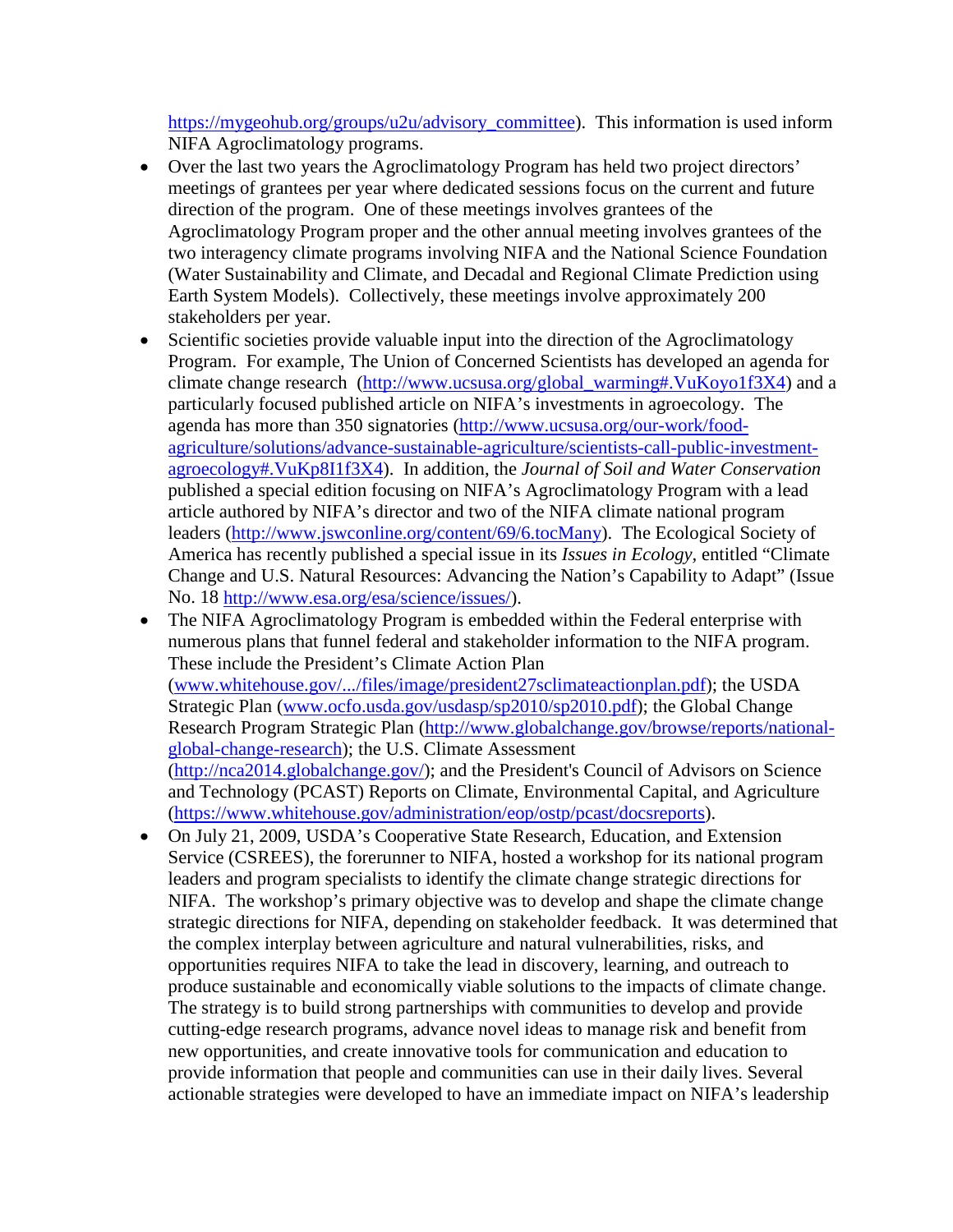[https://mygeohub.org/groups/u2u/advisory\\_committee\)](https://mygeohub.org/groups/u2u/advisory_committee). This information is used inform NIFA Agroclimatology programs.

- Over the last two years the Agroclimatology Program has held two project directors' meetings of grantees per year where dedicated sessions focus on the current and future direction of the program. One of these meetings involves grantees of the Agroclimatology Program proper and the other annual meeting involves grantees of the two interagency climate programs involving NIFA and the National Science Foundation (Water Sustainability and Climate, and [Decadal and Regional Climate Prediction using](http://www.nifa.usda.gov/fo/earthsystemmodeling.cfm)  [Earth System Models\).](http://www.nifa.usda.gov/fo/earthsystemmodeling.cfm) Collectively, these meetings involve approximately 200 stakeholders per year.
- Scientific societies provide valuable input into the direction of the Agroclimatology Program. For example, The Union of Concerned Scientists has developed an agenda for climate change research [\(http://www.ucsusa.org/global\\_warming#.VuKoyo1f3X4\)](http://www.ucsusa.org/global_warming#.VuKoyo1f3X4) and a particularly focused published article on NIFA's investments in agroecology. The agenda has more than 350 signatories [\(http://www.ucsusa.org/our-work/food](http://www.ucsusa.org/our-work/food-agriculture/solutions/advance-sustainable-agriculture/scientists-call-public-investment-agroecology#.VuKp8I1f3X4)[agriculture/solutions/advance-sustainable-agriculture/scientists-call-public-investment](http://www.ucsusa.org/our-work/food-agriculture/solutions/advance-sustainable-agriculture/scientists-call-public-investment-agroecology#.VuKp8I1f3X4)[agroecology#.VuKp8I1f3X4\)](http://www.ucsusa.org/our-work/food-agriculture/solutions/advance-sustainable-agriculture/scientists-call-public-investment-agroecology#.VuKp8I1f3X4). In addition, the *Journal of Soil and Water Conservation* published a special edition focusing on NIFA's Agroclimatology Program with a lead article authored by NIFA's director and two of the NIFA climate national program leaders [\(http://www.jswconline.org/content/69/6.tocMany\)](http://www.jswconline.org/content/69/6.tocMany). The Ecological Society of America has recently published a special issue in its *Issues in Ecology,* entitled "Climate Change and U.S. Natural Resources: Advancing the Nation's Capability to Adapt" (Issue No. 18 [http://www.esa.org/esa/science/issues/\)](http://www.esa.org/esa/science/issues/).
- The NIFA Agroclimatology Program is embedded within the Federal enterprise with numerous plans that funnel federal and stakeholder information to the NIFA program. These include the President's Climate Action Plan [\(www.whitehouse.gov/.../files/image/president27sclimateactionplan.pdf\)](http://www.whitehouse.gov/.../files/image/president27sclimateactionplan.pdf); the USDA Strategic Plan [\(www.ocfo.usda.gov/usdasp/sp2010/sp2010.pdf\)](http://www.ocfo.usda.gov/usdasp/sp2010/sp2010.pdf); the Global Change Research Program Strategic Plan [\(http://www.globalchange.gov/browse/reports/national](http://www.globalchange.gov/browse/reports/national-global-change-research)[global-change-research\)](http://www.globalchange.gov/browse/reports/national-global-change-research); the U.S. Climate Assessment [\(http://nca2014.globalchange.gov/\)](http://nca2014.globalchange.gov/); and the President's Council of Advisors on Science and Technology (PCAST) Reports on Climate, Environmental Capital, and Agriculture [\(https://www.whitehouse.gov/administration/eop/ostp/pcast/docsreports\)](https://www.whitehouse.gov/administration/eop/ostp/pcast/docsreports).
- On July 21, 2009, USDA's Cooperative State Research, Education, and Extension Service (CSREES), the forerunner to NIFA, hosted a workshop for its national program leaders and program specialists to identify the climate change strategic directions for NIFA. The workshop's primary objective was to develop and shape the climate change strategic directions for NIFA, depending on stakeholder feedback. It was determined that the complex interplay between agriculture and natural vulnerabilities, risks, and opportunities requires NIFA to take the lead in discovery, learning, and outreach to produce sustainable and economically viable solutions to the impacts of climate change. The strategy is to build strong partnerships with communities to develop and provide cutting-edge research programs, advance novel ideas to manage risk and benefit from new opportunities, and create innovative tools for communication and education to provide information that people and communities can use in their daily lives. Several actionable strategies were developed to have an immediate impact on NIFA's leadership